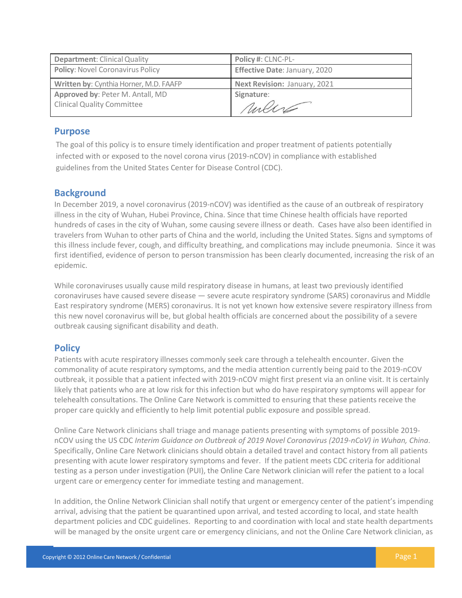| <b>Department: Clinical Quality</b>     | Policy #: CLNC-PL-            |
|-----------------------------------------|-------------------------------|
| <b>Policy: Novel Coronavirus Policy</b> | Effective Date: January, 2020 |
| Written by: Cynthia Horner, M.D. FAAFP  | Next Revision: January, 2021  |
| Approved by: Peter M. Antall, MD        | Signature:                    |
| <b>Clinical Quality Committee</b>       | rules                         |

#### **Purpose**

The goal of this policy is to ensure timely identification and proper treatment of patients potentially infected with or exposed to the novel corona virus (2019-nCOV) in compliance with established guidelines from the United States Center for Disease Control (CDC).

### **Background**

In December 2019, a novel coronavirus (2019-nCOV) was identified as the cause of an outbreak of respiratory illness in the city of Wuhan, Hubei Province, China. Since that time Chinese health officials have reported hundreds of cases in the city of Wuhan, some causing severe illness or death. Cases have also been identified in travelers from Wuhan to other parts of China and the world, including the United States. Signs and symptoms of this illness include fever, cough, and difficulty breathing, and complications may include pneumonia. Since it was first identified, evidence of person to person transmission has been clearly documented, increasing the risk of an epidemic.

While coronaviruses usually cause mild respiratory disease in humans, at least two previously identified coronaviruses have caused severe disease — severe acute respiratory syndrome (SARS) coronavirus and Middle East respiratory syndrome (MERS) coronavirus. It is not yet known how extensive severe respiratory illness from this new novel coronavirus will be, but global health officials are concerned about the possibility of a severe outbreak causing significant disability and death.

### **Policy**

Patients with acute respiratory illnesses commonly seek care through a telehealth encounter. Given the commonality of acute respiratory symptoms, and the media attention currently being paid to the 2019-nCOV outbreak, it possible that a patient infected with 2019-nCOV might first present via an online visit. It is certainly likely that patients who are at low risk for this infection but who do have respiratory symptoms will appear for telehealth consultations. The Online Care Network is committed to ensuring that these patients receive the proper care quickly and efficiently to help limit potential public exposure and possible spread.

Online Care Network clinicians shall triage and manage patients presenting with symptoms of possible 2019 nCOV using the US CDC *Interim Guidance on Outbreak of 2019 Novel Coronavirus (2019-nCoV) in Wuhan, China*. Specifically, Online Care Network clinicians should obtain a detailed travel and contact history from all patients presenting with acute lower respiratory symptoms and fever. If the patient meets CDC criteria for additional testing as a person under investigation (PUI), the Online Care Network clinician will refer the patient to a local urgent care or emergency center for immediate testing and management.

In addition, the Online Network Clinician shall notify that urgent or emergency center of the patient's impending arrival, advising that the patient be quarantined upon arrival, and tested according to local, and state health department policies and CDC guidelines. Reporting to and coordination with local and state health departments will be managed by the onsite urgent care or emergency clinicians, and not the Online Care Network clinician, as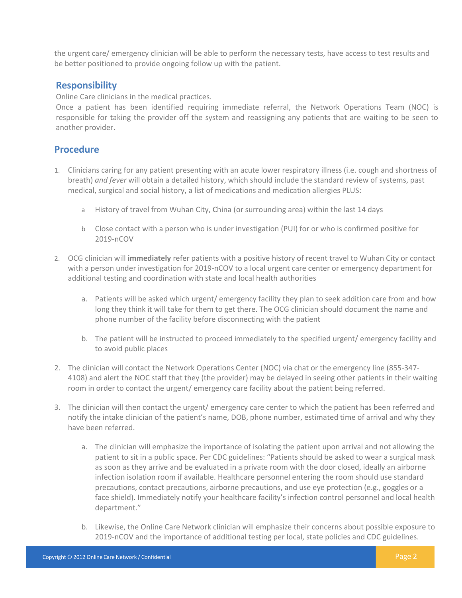the urgent care/ emergency clinician will be able to perform the necessary tests, have access to test results and be better positioned to provide ongoing follow up with the patient.

## **Responsibility**

Online Care clinicians in the medical practices.

Once a patient has been identified requiring immediate referral, the Network Operations Team (NOC) is responsible for taking the provider off the system and reassigning any patients that are waiting to be seen to another provider.

# **Procedure**

- 1. Clinicians caring for any patient presenting with an acute lower respiratory illness (i.e. cough and shortness of breath) *and fever* will obtain a detailed history, which should include the standard review of systems, past medical, surgical and social history, a list of medications and medication allergies PLUS:
	- a History of travel from Wuhan City, China (or surrounding area) within the last 14 days
	- b Close contact with a person who is under investigation (PUI) for or who is confirmed positive for 2019-nCOV
- 2. OCG clinician will **immediately** refer patients with a positive history of recent travel to Wuhan City or contact with a person under investigation for 2019-nCOV to a local urgent care center or emergency department for additional testing and coordination with state and local health authorities
	- a. Patients will be asked which urgent/ emergency facility they plan to seek addition care from and how long they think it will take for them to get there. The OCG clinician should document the name and phone number of the facility before disconnecting with the patient
	- b. The patient will be instructed to proceed immediately to the specified urgent/ emergency facility and to avoid public places
- 2. The clinician will contact the Network Operations Center (NOC) via chat or the emergency line (855-347- 4108) and alert the NOC staff that they (the provider) may be delayed in seeing other patients in their waiting room in order to contact the urgent/ emergency care facility about the patient being referred.
- 3. The clinician will then contact the urgent/ emergency care center to which the patient has been referred and notify the intake clinician of the patient's name, DOB, phone number, estimated time of arrival and why they have been referred.
	- a. The clinician will emphasize the importance of isolating the patient upon arrival and not allowing the patient to sit in a public space. Per CDC guidelines: "Patients should be asked to wear a surgical mask as soon as they arrive and be evaluated in a private room with the door closed, ideally an airborne infection isolation room if available. Healthcare personnel entering the room should use standard precautions, contact precautions, airborne precautions, and use eye protection (e.g., goggles or a face shield). Immediately notify your healthcare facility's infection control personnel and local health department."
	- b. Likewise, the Online Care Network clinician will emphasize their concerns about possible exposure to 2019-nCOV and the importance of additional testing per local, state policies and CDC guidelines.